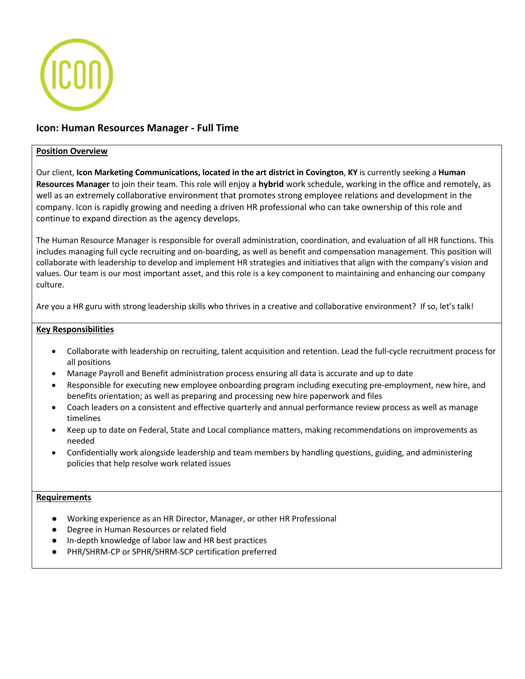

# **Icon: Human Resources Manager - Full Time**

## **Position Overview**

Our client, **Icon Marketing Communications, located in the art district in Covington**, **KY** is currently seeking a **Human Resources Manager** to join their team. This role will enjoy a **hybrid** work schedule, working in the office and remotely, as well as an extremely collaborative environment that promotes strong employee relations and development in the company. Icon is rapidly growing and needing a driven HR professional who can take ownership of this role and continue to expand direction as the agency develops.

The Human Resource Manager is responsible for overall administration, coordination, and evaluation of all HR functions. This includes managing full cycle recruiting and on-boarding, as well as benefit and compensation management. This position will collaborate with leadership to develop and implement HR strategies and initiatives that align with the company's vision and values. Our team is our most important asset, and this role is a key component to maintaining and enhancing our company culture.

Are you a HR guru with strong leadership skills who thrives in a creative and collaborative environment? If so, let's talk!

## **Key Responsibilities**

- Collaborate with leadership on recruiting, talent acquisition and retention. Lead the full-cycle recruitment process for all positions
- Manage Payroll and Benefit administration process ensuring all data is accurate and up to date
- Responsible for executing new employee onboarding program including executing pre-employment, new hire, and benefits orientation; as well as preparing and processing new hire paperwork and files
- Coach leaders on a consistent and effective quarterly and annual performance review process as well as manage timelines
- Keep up to date on Federal, State and Local compliance matters, making recommendations on improvements as needed
- Confidentially work alongside leadership and team members by handling questions, guiding, and administering policies that help resolve work related issues

#### **Requirements**

- Working experience as an HR Director, Manager, or other HR Professional
- Degree in Human Resources or related field
- In-depth knowledge of labor law and HR best practices
- PHR/SHRM-CP or SPHR/SHRM-SCP certification preferred